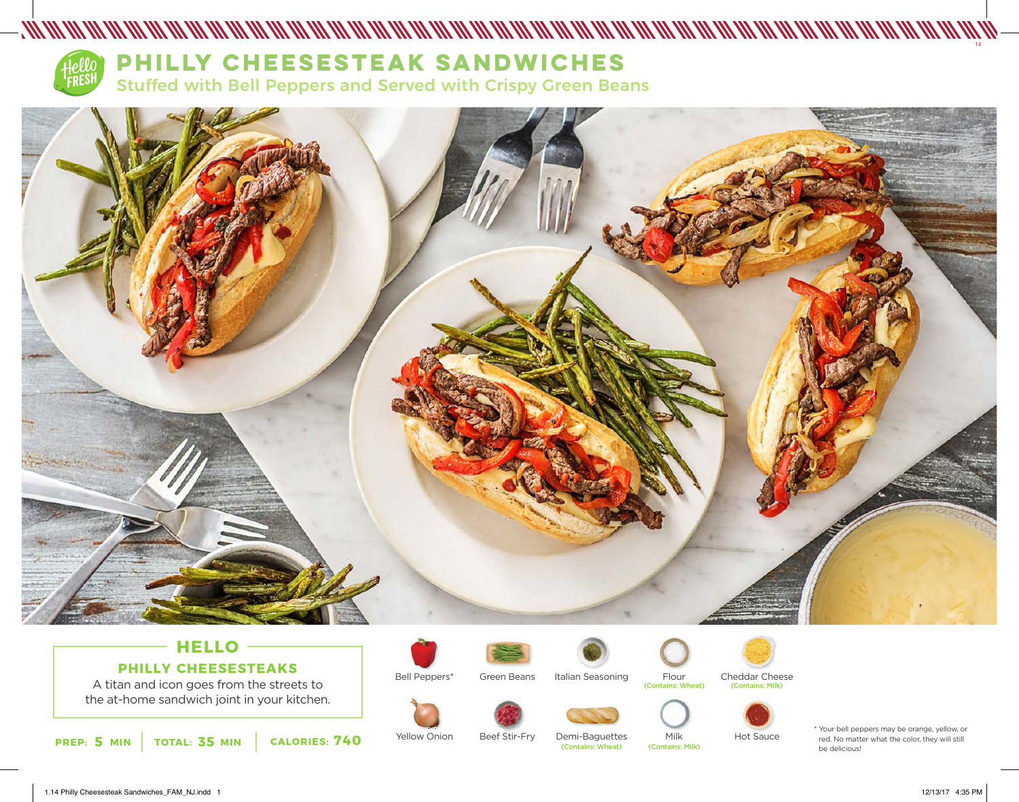

# **PHILLY CHEESESTEAK SANDWICHES**

Stuffed with Bell Peppers and Served with Crispy Green Beans



## **HELLO PHILLY CHEESESTEAKS**

A titan and icon goes from the streets to the at-home sandwich joint in your kitchen.





Yellow Onion





Italian Seasoning



Beef Stir-Fry



Demi-Baguettes

(Contains: Wheat) (Contains: Milk)



Flour

Milk





Hot Sauce

\* Your bell peppers may be orange, yellow, or red. No matter what the color, they will still

14